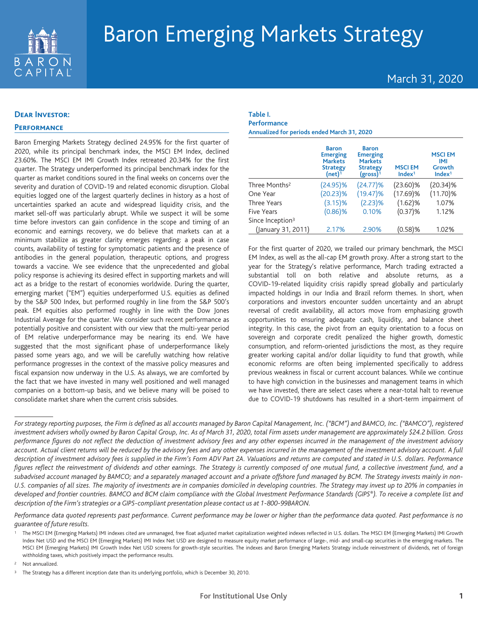

## March 31, 2020

## **Dear Investor:**

## **Performance**

Baron Emerging Markets Strategy declined 24.95% for the first quarter of 2020, while its principal benchmark index, the MSCI EM Index, declined 23.60%. The MSCI EM IMI Growth Index retreated 20.34% for the first quarter. The Strategy underperformed its principal benchmark index for the quarter as market conditions soured in the final weeks on concerns over the severity and duration of COVID-19 and related economic disruption. Global equities logged one of the largest quarterly declines in history as a host of uncertainties sparked an acute and widespread liquidity crisis, and the market sell-off was particularly abrupt. While we suspect it will be some time before investors can gain confidence in the scope and timing of an economic and earnings recovery, we do believe that markets can at a minimum stabilize as greater clarity emerges regarding: a peak in case counts, availability of testing for symptomatic patients and the presence of antibodies in the general population, therapeutic options, and progress towards a vaccine. We see evidence that the unprecedented and global policy response is achieving its desired effect in supporting markets and will act as a bridge to the restart of economies worldwide. During the quarter, emerging market ("EM") equities underperformed U.S. equities as defined by the S&P 500 Index, but performed roughly in line from the S&P 500's peak. EM equities also performed roughly in line with the Dow Jones Industrial Average for the quarter. We consider such recent performance as potentially positive and consistent with our view that the multi-year period of EM relative underperformance may be nearing its end. We have suggested that the most significant phase of underperformance likely passed some years ago, and we will be carefully watching how relative performance progresses in the context of the massive policy measures and fiscal expansion now underway in the U.S. As always, we are comforted by the fact that we have invested in many well positioned and well managed companies on a bottom-up basis, and we believe many will be poised to consolidate market share when the current crisis subsides.

#### **Table I. Performance**

**Annualized for periods ended March 31, 2020**

|                              | <b>Baron</b><br><b>Emerging</b><br><b>Markets</b><br><b>Strategy</b><br>(net) $\bar{1}$ | <b>Baron</b><br><b>Emerging</b><br><b>Markets</b><br><b>Strategy</b><br>$(gross)$ <sup>1</sup> | <b>MSCIEM</b><br>Index <sup>1</sup> | <b>MSCIEM</b><br>IMI<br>Growth<br>Index <sup>1</sup> |
|------------------------------|-----------------------------------------------------------------------------------------|------------------------------------------------------------------------------------------------|-------------------------------------|------------------------------------------------------|
| Three Months <sup>2</sup>    | $(24.95)\%$                                                                             | (24.77)%                                                                                       | $(23.60)\%$                         | $(20.34)\%$                                          |
| One Year                     | (20.23)%                                                                                | $(19.47)\%$                                                                                    | $(17.69)\%$                         | $(11.70)\%$                                          |
| Three Years                  | $(3.15)$ %                                                                              | $(2.23)$ %                                                                                     | $(1.62)$ %                          | 1.07%                                                |
| <b>Five Years</b>            | $(0.86)$ %                                                                              | 0.10%                                                                                          | $(0.37)$ %                          | 1.12%                                                |
| Since Inception <sup>3</sup> |                                                                                         |                                                                                                |                                     |                                                      |
| (January 31, 2011)           | 2.17%                                                                                   | 2.90%                                                                                          | (0.58)%                             | 1.02%                                                |

For the first quarter of 2020, we trailed our primary benchmark, the MSCI EM Index, as well as the all-cap EM growth proxy. After a strong start to the year for the Strategy's relative performance, March trading extracted a substantial toll on both relative and absolute returns, as a COVID-19-related liquidity crisis rapidly spread globally and particularly impacted holdings in our India and Brazil reform themes. In short, when corporations and investors encounter sudden uncertainty and an abrupt reversal of credit availability, all actors move from emphasizing growth opportunities to ensuring adequate cash, liquidity, and balance sheet integrity. In this case, the pivot from an equity orientation to a focus on sovereign and corporate credit penalized the higher growth, domestic consumption, and reform-oriented jurisdictions the most, as they require greater working capital and/or dollar liquidity to fund that growth, while economic reforms are often being implemented specifically to address previous weakness in fiscal or current account balances. While we continue to have high conviction in the businesses and management teams in which we have invested, there are select cases where a near-total halt to revenue due to COVID-19 shutdowns has resulted in a short-term impairment of

*Performance data quoted represents past performance. Current performance may be lower or higher than the performance data quoted. Past performance is no guarantee of future results.*

<sup>2</sup> Not annualized.

*For strategy reporting purposes, the Firm is defined as all accounts managed by Baron Capital Management, Inc. ("BCM") and BAMCO, Inc. ("BAMCO"), registered investment advisers wholly owned by Baron Capital Group, Inc. As of March 31, 2020, total Firm assets under management are approximately \$24.2 billion. Gross performance figures do not reflect the deduction of investment advisory fees and any other expenses incurred in the management of the investment advisory account. Actual client returns will be reduced by the advisory fees and any other expenses incurred in the management of the investment advisory account. A full description of investment advisory fees is supplied in the Firm's Form ADV Part 2A. Valuations and returns are computed and stated in U.S. dollars. Performance* figures reflect the reinvestment of dividends and other earnings. The Strategy is currently composed of one mutual fund, a collective investment fund, and a *subadvised account managed by BAMCO; and a separately managed account and a private offshore fund managed by BCM. The Strategy invests mainly in non-U.S. companies of all sizes. The majority of investments are in companies domiciled in developing countries. The Strategy may invest up to 20% in companies in developed and frontier countries. BAMCO and BCM claim compliance with the Global Investment Performance Standards (GIPS®). To receive a complete list and description of the Firm's strategies or a GIPS-compliant presentation please contact us at 1-800-99BARON.*

<sup>1</sup> The MSCI EM (Emerging Markets) IMI indexes cited are unmanaged, free float adjusted market capitalization weighted indexes reflected in U.S. dollars. The MSCI EM (Emerging Markets) IMI Growth Index Net USD and the MSCI EM (Emerging Markets) IMI Index Net USD are designed to measure equity market performance of large-, mid- and small-cap securities in the emerging markets. The MSCI EM (Emerging Markets) IMI Growth Index Net USD screens for growth-style securities. The indexes and Baron Emerging Markets Strategy include reinvestment of dividends, net of foreign withholding taxes, which positively impact the performance results.

The Strategy has a different inception date than its underlying portfolio, which is December 30, 2010.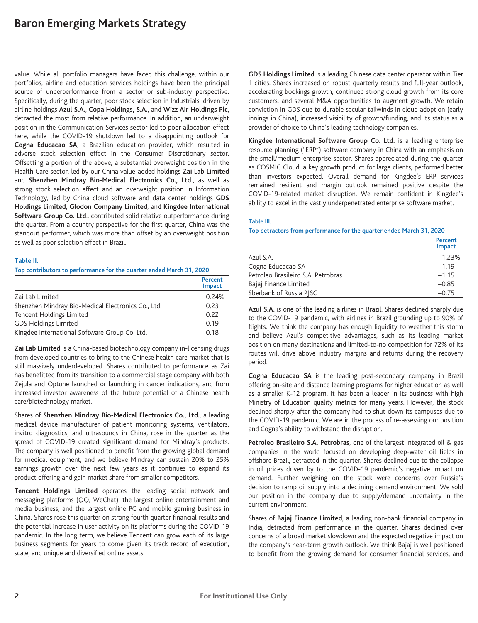value. While all portfolio managers have faced this challenge, within our portfolios, airline and education services holdings have been the principal source of underperformance from a sector or sub-industry perspective. Specifically, during the quarter, poor stock selection in Industrials, driven by airline holdings **Azul S.A.**, **Copa Holdings, S.A.**, and **Wizz Air Holdings Plc**, detracted the most from relative performance. In addition**,** an underweight position in the Communication Services sector led to poor allocation effect here, while the COVID-19 shutdown led to a disappointing outlook for **Cogna Educacao SA**, a Brazilian education provider, which resulted in adverse stock selection effect in the Consumer Discretionary sector. Offsetting a portion of the above, a substantial overweight position in the Health Care sector, led by our China value-added holdings **Zai Lab Limited** and **Shenzhen Mindray Bio-Medical Electronics Co., Ltd.**, as well as strong stock selection effect and an overweight position in Information Technology, led by China cloud software and data center holdings **GDS Holdings Limited**, **Glodon Company Limited**, and **Kingdee International Software Group Co. Ltd**., contributed solid relative outperformance during the quarter. From a country perspective for the first quarter, China was the standout performer, which was more than offset by an overweight position as well as poor selection effect in Brazil.

#### **Table II.**

**Top contributors to performance for the quarter ended March 31, 2020**

|                                                    | Percent<br>Impact |
|----------------------------------------------------|-------------------|
| Zai Lab Limited                                    | 0.24%             |
| Shenzhen Mindray Bio-Medical Electronics Co., Ltd. | 0.23              |
| Tencent Holdings Limited                           | 0.22              |
| <b>GDS Holdings Limited</b>                        | 0.19              |
| Kingdee International Software Group Co. Ltd.      | 0.18              |

**Zai Lab Limited** is a China-based biotechnology company in-licensing drugs from developed countries to bring to the Chinese health care market that is still massively underdeveloped. Shares contributed to performance as Zai has benefitted from its transition to a commercial stage company with both Zejula and Optune launched or launching in cancer indications, and from increased investor awareness of the future potential of a Chinese health care/biotechnology market.

Shares of **Shenzhen Mindray Bio-Medical Electronics Co., Ltd.**, a leading medical device manufacturer of patient monitoring systems, ventilators, invitro diagnostics, and ultrasounds in China, rose in the quarter as the spread of COVID-19 created significant demand for Mindray's products. The company is well positioned to benefit from the growing global demand for medical equipment, and we believe Mindray can sustain 20% to 25% earnings growth over the next few years as it continues to expand its product offering and gain market share from smaller competitors.

**Tencent Holdings Limited** operates the leading social network and messaging platforms (QQ, WeChat), the largest online entertainment and media business, and the largest online PC and mobile gaming business in China. Shares rose this quarter on strong fourth quarter financial results and the potential increase in user activity on its platforms during the COVID-19 pandemic. In the long term, we believe Tencent can grow each of its large business segments for years to come given its track record of execution, scale, and unique and diversified online assets.

**GDS Holdings Limited** is a leading Chinese data center operator within Tier 1 cities. Shares increased on robust quarterly results and full-year outlook, accelerating bookings growth, continued strong cloud growth from its core customers, and several M&A opportunities to augment growth. We retain conviction in GDS due to durable secular tailwinds in cloud adoption (early innings in China), increased visibility of growth/funding, and its status as a provider of choice to China's leading technology companies.

**Kingdee International Software Group Co. Ltd.** is a leading enterprise resource planning ("ERP") software company in China with an emphasis on the small/medium enterprise sector. Shares appreciated during the quarter as COSMIC Cloud, a key growth product for large clients, performed better than investors expected. Overall demand for Kingdee's ERP services remained resilient and margin outlook remained positive despite the COVID-19-related market disruption. We remain confident in Kingdee's ability to excel in the vastly underpenetrated enterprise software market.

#### **Table III.**

#### **Top detractors from performance for the quarter ended March 31, 2020**

|                                    | <b>Percent</b><br><b>Impact</b> |
|------------------------------------|---------------------------------|
| Azul S.A.                          | $-1.23%$                        |
| Cogna Educacao SA                  | $-1.19$                         |
| Petroleo Brasileiro S.A. Petrobras | $-1.15$                         |
| Bajaj Finance Limited              | $-0.85$                         |
| Sberbank of Russia PISC            | $-0.75$                         |

**Azul S.A.** is one of the leading airlines in Brazil. Shares declined sharply due to the COVID-19 pandemic, with airlines in Brazil grounding up to 90% of flights. We think the company has enough liquidity to weather this storm and believe Azul's competitive advantages, such as its leading market position on many destinations and limited-to-no competition for 72% of its routes will drive above industry margins and returns during the recovery period.

**Cogna Educacao SA** is the leading post-secondary company in Brazil offering on-site and distance learning programs for higher education as well as a smaller K-12 program. It has been a leader in its business with high Ministry of Education quality metrics for many years. However, the stock declined sharply after the company had to shut down its campuses due to the COVID-19 pandemic. We are in the process of re-assessing our position and Cogna's ability to withstand the disruption.

**Petroleo Brasileiro S.A. Petrobras**, one of the largest integrated oil & gas companies in the world focused on developing deep-water oil fields in offshore Brazil, detracted in the quarter. Shares declined due to the collapse in oil prices driven by to the COVID-19 pandemic's negative impact on demand. Further weighing on the stock were concerns over Russia's decision to ramp oil supply into a declining demand environment. We sold our position in the company due to supply/demand uncertainty in the current environment.

Shares of **Bajaj Finance Limited**, a leading non-bank financial company in India, detracted from performance in the quarter. Shares declined over concerns of a broad market slowdown and the expected negative impact on the company's near-term growth outlook. We think Bajaj is well positioned to benefit from the growing demand for consumer financial services, and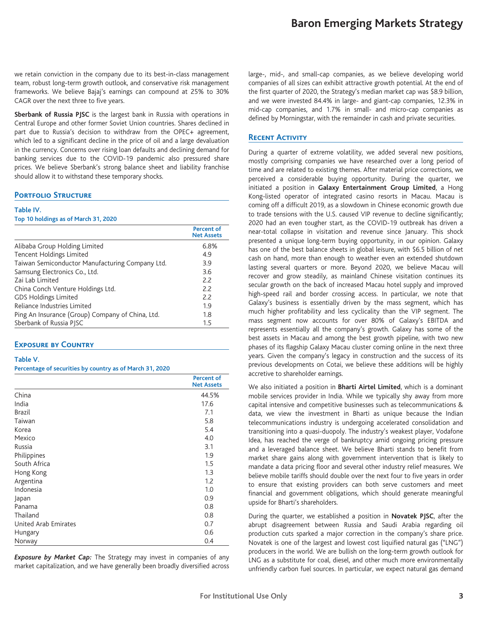we retain conviction in the company due to its best-in-class management team, robust long-term growth outlook, and conservative risk management frameworks. We believe Bajaj's earnings can compound at 25% to 30% CAGR over the next three to five years.

**Sberbank of Russia PJSC** is the largest bank in Russia with operations in Central Europe and other former Soviet Union countries. Shares declined in part due to Russia's decision to withdraw from the OPEC+ agreement, which led to a significant decline in the price of oil and a large devaluation in the currency. Concerns over rising loan defaults and declining demand for banking services due to the COVID-19 pandemic also pressured share prices. We believe Sberbank's strong balance sheet and liability franchise should allow it to withstand these temporary shocks.

#### **PORTFOLIO STRUCTURE**

#### **Table IV.**

#### **Top 10 holdings as of March 31, 2020**

|                                                  | <b>Percent of</b><br><b>Net Assets</b> |
|--------------------------------------------------|----------------------------------------|
| Alibaba Group Holding Limited                    | 6.8%                                   |
| Tencent Holdings Limited                         | 4.9                                    |
| Taiwan Semiconductor Manufacturing Company Ltd.  | 3.9                                    |
| Samsung Electronics Co., Ltd.                    | 3.6                                    |
| Zai Lab Limited                                  | 2.2                                    |
| China Conch Venture Holdings Ltd.                | 2.2                                    |
| <b>GDS Holdings Limited</b>                      | 2.2                                    |
| Reliance Industries Limited                      | 1.9                                    |
| Ping An Insurance (Group) Company of China, Ltd. | 1.8                                    |
| Sberbank of Russia PISC                          | 1.5                                    |
|                                                  |                                        |

### **Exposure by Country**

#### **Table V.**

#### **Percentage of securities by country as of March 31, 2020**

|                      | <b>Percent of</b><br><b>Net Assets</b> |
|----------------------|----------------------------------------|
| China                | 44.5%                                  |
| India                | 17.6                                   |
| <b>Brazil</b>        | 7.1                                    |
| Taiwan               | 5.8                                    |
| Korea                | 5.4                                    |
| Mexico               | 4.0                                    |
| Russia               | 3.1                                    |
| Philippines          | 1.9                                    |
| South Africa         | 1.5                                    |
| Hong Kong            | 1.3                                    |
| Argentina            | 1.2                                    |
| Indonesia            | 1.0                                    |
| Japan                | 0.9                                    |
| Panama               | 0.8                                    |
| Thailand             | 0.8                                    |
| United Arab Emirates | 0.7                                    |
| Hungary              | 0.6                                    |
| Norway               | 0.4                                    |

*Exposure by Market Cap:* The Strategy may invest in companies of any market capitalization, and we have generally been broadly diversified across

large-, mid-, and small-cap companies, as we believe developing world companies of all sizes can exhibit attractive growth potential. At the end of the first quarter of 2020, the Strategy's median market cap was \$8.9 billion, and we were invested 84.4% in large- and giant-cap companies, 12.3% in mid-cap companies, and 1.7% in small- and micro-cap companies as defined by Morningstar, with the remainder in cash and private securities.

#### **Recent Activity**

During a quarter of extreme volatility, we added several new positions, mostly comprising companies we have researched over a long period of time and are related to existing themes. After material price corrections, we perceived a considerable buying opportunity. During the quarter, we initiated a position in **Galaxy Entertainment Group Limited**, a Hong Kong-listed operator of integrated casino resorts in Macau. Macau is coming off a difficult 2019, as a slowdown in Chinese economic growth due to trade tensions with the U.S. caused VIP revenue to decline significantly; 2020 had an even tougher start, as the COVID-19 outbreak has driven a near-total collapse in visitation and revenue since January. This shock presented a unique long-term buying opportunity, in our opinion. Galaxy has one of the best balance sheets in global leisure, with \$6.5 billion of net cash on hand, more than enough to weather even an extended shutdown lasting several quarters or more. Beyond 2020, we believe Macau will recover and grow steadily, as mainland Chinese visitation continues its secular growth on the back of increased Macau hotel supply and improved high-speed rail and border crossing access. In particular, we note that Galaxy's business is essentially driven by the mass segment, which has much higher profitability and less cyclicality than the VIP segment. The mass segment now accounts for over 80% of Galaxy's EBITDA and represents essentially all the company's growth. Galaxy has some of the best assets in Macau and among the best growth pipeline, with two new phases of its flagship Galaxy Macau cluster coming online in the next three years. Given the company's legacy in construction and the success of its previous developments on Cotai, we believe these additions will be highly accretive to shareholder earnings.

We also initiated a position in **Bharti Airtel Limited**, which is a dominant mobile services provider in India. While we typically shy away from more capital intensive and competitive businesses such as telecommunications & data, we view the investment in Bharti as unique because the Indian telecommunications industry is undergoing accelerated consolidation and transitioning into a quasi-duopoly. The industry's weakest player, Vodafone Idea, has reached the verge of bankruptcy amid ongoing pricing pressure and a leveraged balance sheet. We believe Bharti stands to benefit from market share gains along with government intervention that is likely to mandate a data pricing floor and several other industry relief measures. We believe mobile tariffs should double over the next four to five years in order to ensure that existing providers can both serve customers and meet financial and government obligations, which should generate meaningful upside for Bharti's shareholders.

During the quarter, we established a position in **Novatek PJSC**, after the abrupt disagreement between Russia and Saudi Arabia regarding oil production cuts sparked a major correction in the company's share price. Novatek is one of the largest and lowest cost liquified natural gas ("LNG") producers in the world. We are bullish on the long-term growth outlook for LNG as a substitute for coal, diesel, and other much more environmentally unfriendly carbon fuel sources. In particular, we expect natural gas demand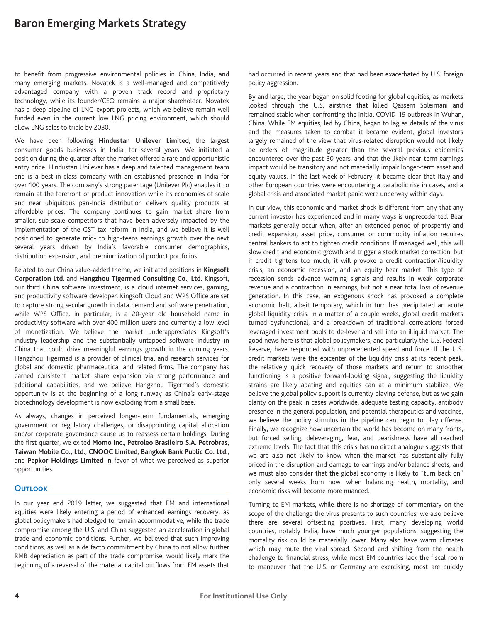to benefit from progressive environmental policies in China, India, and many emerging markets. Novatek is a well-managed and competitively advantaged company with a proven track record and proprietary technology, while its founder/CEO remains a major shareholder. Novatek has a deep pipeline of LNG export projects, which we believe remain well funded even in the current low LNG pricing environment, which should allow LNG sales to triple by 2030.

We have been following **Hindustan Unilever Limited**, the largest consumer goods businesses in India, for several years. We initiated a position during the quarter after the market offered a rare and opportunistic entry price. Hindustan Unilever has a deep and talented management team and is a best-in-class company with an established presence in India for over 100 years. The company's strong parentage (Unilever Plc) enables it to remain at the forefront of product innovation while its economies of scale and near ubiquitous pan-India distribution delivers quality products at affordable prices. The company continues to gain market share from smaller, sub-scale competitors that have been adversely impacted by the implementation of the GST tax reform in India, and we believe it is well positioned to generate mid- to high-teens earnings growth over the next several years driven by India's favorable consumer demographics, distribution expansion, and premiumization of product portfolios.

Related to our China value-added theme, we initiated positions in **Kingsoft Corporation Ltd**. and **Hangzhou Tigermed Consulting Co., Ltd.** Kingsoft, our third China software investment, is a cloud internet services, gaming, and productivity software developer. Kingsoft Cloud and WPS Office are set to capture strong secular growth in data demand and software penetration, while WPS Office, in particular, is a 20-year old household name in productivity software with over 400 million users and currently a low level of monetization. We believe the market underappreciates Kingsoft's industry leadership and the substantially untapped software industry in China that could drive meaningful earnings growth in the coming years. Hangzhou Tigermed is a provider of clinical trial and research services for global and domestic pharmaceutical and related firms. The company has earned consistent market share expansion via strong performance and additional capabilities, and we believe Hangzhou Tigermed's domestic opportunity is at the beginning of a long runway as China's early-stage biotechnology development is now exploding from a small base.

As always, changes in perceived longer-term fundamentals, emerging government or regulatory challenges, or disappointing capital allocation and/or corporate governance cause us to reassess certain holdings. During the first quarter, we exited **Momo Inc.**, **Petroleo Brasileiro S.A. Petrobras**, **Taiwan Mobile Co., Ltd.**, **CNOOC Limited**, **Bangkok Bank Public Co. Ltd.**, and **Pepkor Holdings Limited** in favor of what we perceived as superior opportunities.

#### **Outlook**

In our year end 2019 letter, we suggested that EM and international equities were likely entering a period of enhanced earnings recovery, as global policymakers had pledged to remain accommodative, while the trade compromise among the U.S. and China suggested an acceleration in global trade and economic conditions. Further, we believed that such improving conditions, as well as a de facto commitment by China to not allow further RMB depreciation as part of the trade compromise, would likely mark the beginning of a reversal of the material capital outflows from EM assets that

had occurred in recent years and that had been exacerbated by U.S. foreign policy aggression.

By and large, the year began on solid footing for global equities, as markets looked through the U.S. airstrike that killed Qassem Soleimani and remained stable when confronting the initial COVID-19 outbreak in Wuhan, China. While EM equities, led by China, began to lag as details of the virus and the measures taken to combat it became evident, global investors largely remained of the view that virus-related disruption would not likely be orders of magnitude greater than the several previous epidemics encountered over the past 30 years, and that the likely near-term earnings impact would be transitory and not materially impair longer-term asset and equity values. In the last week of February, it became clear that Italy and other European countries were encountering a parabolic rise in cases, and a global crisis and associated market panic were underway within days.

In our view, this economic and market shock is different from any that any current investor has experienced and in many ways is unprecedented. Bear markets generally occur when, after an extended period of prosperity and credit expansion, asset price, consumer or commodity inflation requires central bankers to act to tighten credit conditions. If managed well, this will slow credit and economic growth and trigger a stock market correction, but if credit tightens too much, it will provoke a credit contraction/liquidity crisis, an economic recession, and an equity bear market. This type of recession sends advance warning signals and results in weak corporate revenue and a contraction in earnings, but not a near total loss of revenue generation. In this case, an exogenous shock has provoked a complete economic halt, albeit temporary, which in turn has precipitated an acute global liquidity crisis. In a matter of a couple weeks, global credit markets turned dysfunctional, and a breakdown of traditional correlations forced leveraged investment pools to de-lever and sell into an illiquid market. The good news here is that global policymakers, and particularly the U.S. Federal Reserve, have responded with unprecedented speed and force. If the U.S. credit markets were the epicenter of the liquidity crisis at its recent peak, the relatively quick recovery of those markets and return to smoother functioning is a positive forward-looking signal, suggesting the liquidity strains are likely abating and equities can at a minimum stabilize. We believe the global policy support is currently playing defense, but as we gain clarity on the peak in cases worldwide, adequate testing capacity, antibody presence in the general population, and potential therapeutics and vaccines, we believe the policy stimulus in the pipeline can begin to play offense. Finally, we recognize how uncertain the world has become on many fronts, but forced selling, deleveraging, fear, and bearishness have all reached extreme levels. The fact that this crisis has no direct analogue suggests that we are also not likely to know when the market has substantially fully priced in the disruption and damage to earnings and/or balance sheets, and we must also consider that the global economy is likely to "turn back on" only several weeks from now, when balancing health, mortality, and economic risks will become more nuanced.

Turning to EM markets, while there is no shortage of commentary on the scope of the challenge the virus presents to such countries, we also believe there are several offsetting positives. First, many developing world countries, notably India, have much younger populations, suggesting the mortality risk could be materially lower. Many also have warm climates which may mute the viral spread. Second and shifting from the health challenge to financial stress, while most EM countries lack the fiscal room to maneuver that the U.S. or Germany are exercising, most are quickly